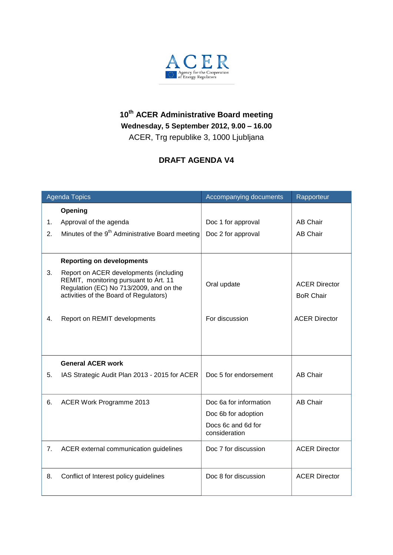

## **10th ACER Administrative Board meeting Wednesday, 5 September 2012, 9.00 – 16.00** ACER, Trg republike 3, 1000 Ljubljana

## **DRAFT AGENDA V4**

| <b>Agenda Topics</b> |                                                                                                                                                                      | Accompanying documents              | Rapporteur                               |
|----------------------|----------------------------------------------------------------------------------------------------------------------------------------------------------------------|-------------------------------------|------------------------------------------|
|                      | Opening                                                                                                                                                              |                                     |                                          |
| 1.                   | Approval of the agenda                                                                                                                                               | Doc 1 for approval                  | <b>AB Chair</b>                          |
| 2.                   | Minutes of the 9 <sup>th</sup> Administrative Board meeting                                                                                                          | Doc 2 for approval                  | <b>AB Chair</b>                          |
|                      | <b>Reporting on developments</b>                                                                                                                                     |                                     |                                          |
| 3.                   | Report on ACER developments (including<br>REMIT, monitoring pursuant to Art. 11<br>Regulation (EC) No 713/2009, and on the<br>activities of the Board of Regulators) | Oral update                         | <b>ACER Director</b><br><b>BoR Chair</b> |
| 4.                   | Report on REMIT developments                                                                                                                                         | For discussion                      | <b>ACER Director</b>                     |
|                      | <b>General ACER work</b>                                                                                                                                             |                                     |                                          |
| 5.                   | IAS Strategic Audit Plan 2013 - 2015 for ACER                                                                                                                        | Doc 5 for endorsement               | <b>AB Chair</b>                          |
| 6.                   | ACER Work Programme 2013                                                                                                                                             | Doc 6a for information              | <b>AB Chair</b>                          |
|                      |                                                                                                                                                                      | Doc 6b for adoption                 |                                          |
|                      |                                                                                                                                                                      | Docs 6c and 6d for<br>consideration |                                          |
| 7.                   | ACER external communication guidelines                                                                                                                               | Doc 7 for discussion                | <b>ACER Director</b>                     |
| 8.                   | Conflict of Interest policy guidelines                                                                                                                               | Doc 8 for discussion                | <b>ACER Director</b>                     |